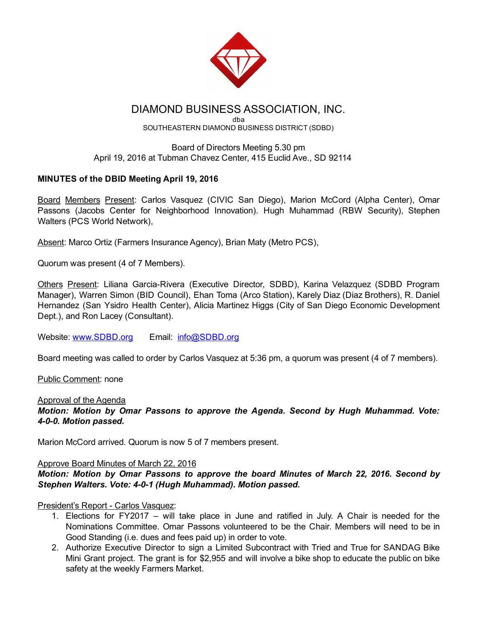

# DIAMOND BUSINESS ASSOCIATION, INC.

dba SOUTHEASTERN DIAMOND BUSINESS DISTRICT (SDBD)

### Board of Directors Meeting 5.30 pm April 19, 2016 at Tubman Chavez Center, 415 Euclid Ave., SD 92114

# MINUTES of the DBID Meeting April 19, 2016

Board Members Present: Carlos Vasquez (CIVIC San Diego), Marion McCord (Alpha Center), Omar Passons (Jacobs Center for Neighborhood Innovation). Hugh Muhammad (RBW Security), Stephen Walters (PCS World Network),

Absent: Marco Ortiz (Farmers Insurance Agency), Brian Maty (Metro PCS),

Quorum was present (4 of 7 Members).

Others Present: Liliana Garcia-Rivera (Executive Director, SDBD), Karina Velazquez (SDBD Program Manager), Warren Simon (BID Council), Ehan Toma (Arco Station), Karely Diaz (Diaz Brothers), R. Daniel Hernandez (San Ysidro Health Center), Alicia Martinez Higgs (City of San Diego Economic Development Dept.), and Ron Lacey (Consultant).

Website: [www.SDBD.org](http://www.sdbd.org/) Email: [info@SDBD.org](mailto:info@SDBD.org)

Board meeting was called to order by Carlos Vasquez at 5:36 pm, a quorum was present (4 of 7 members).

Public Comment: none

#### Approval of the Agenda

*Motion: Motion by Omar Passons to approve the Agenda. Second by Hugh Muhammad. Vote: 400. Motion passed.*

Marion McCord arrived. Quorum is now 5 of 7 members present.

#### Approve Board Minutes of March 22, 2016

*Motion: Motion by Omar Passons to approve the board Minutes of March 22, 2016. Second by Stephen Walters. Vote: 401 (Hugh Muhammad). Motion passed.*

President's Report - Carlos Vasquez:

- 1. Elections for FY2017 will take place in June and ratified in July. A Chair is needed for the Nominations Committee. Omar Passons volunteered to be the Chair. Members will need to be in Good Standing (i.e. dues and fees paid up) in order to vote.
- 2. Authorize Executive Director to sign a Limited Subcontract with Tried and True for SANDAG Bike Mini Grant project. The grant is for \$2,955 and will involve a bike shop to educate the public on bike safety at the weekly Farmers Market.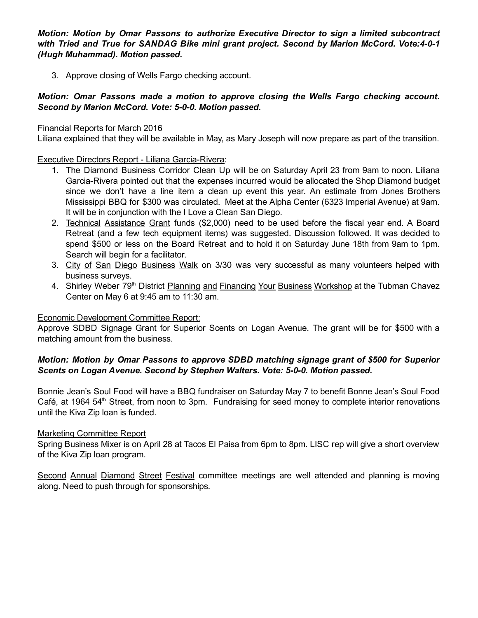*Motion: Motion by Omar Passons to authorize Executive Director to sign a limited subcontract with Tried and True for SANDAG Bike mini grant project. Second by Marion McCord. Vote:401 (Hugh Muhammad). Motion passed.*

3. Approve closing of Wells Fargo checking account.

### *Motion: Omar Passons made a motion to approve closing the Wells Fargo checking account. Second by Marion McCord. Vote: 500. Motion passed.*

#### Financial Reports for March 2016

Liliana explained that they will be available in May, as Mary Joseph will now prepare as part of the transition.

Executive Directors Report - Liliana Garcia-Rivera:

- 1. The Diamond Business Corridor Clean Up will be on Saturday April 23 from 9am to noon. Liliana Garcia-Rivera pointed out that the expenses incurred would be allocated the Shop Diamond budget since we don't have a line item a clean up event this year. An estimate from Jones Brothers Mississippi BBQ for \$300 was circulated. Meet at the Alpha Center (6323 Imperial Avenue) at 9am. It will be in conjunction with the I Love a Clean San Diego.
- 2. Technical Assistance Grant funds (\$2,000) need to be used before the fiscal year end. A Board Retreat (and a few tech equipment items) was suggested. Discussion followed. It was decided to spend \$500 or less on the Board Retreat and to hold it on Saturday June 18th from 9am to 1pm. Search will begin for a facilitator.
- 3. City of San Diego Business Walk on 3/30 was very successful as many volunteers helped with business surveys.
- 4. Shirley Weber 79<sup>th</sup> District Planning and Financing Your Business Workshop at the Tubman Chavez Center on May 6 at 9:45 am to 11:30 am.

#### Economic Development Committee Report:

Approve SDBD Signage Grant for Superior Scents on Logan Avenue. The grant will be for \$500 with a matching amount from the business.

### *Motion: Motion by Omar Passons to approve SDBD matching signage grant of \$500 for Superior Scents on Logan Avenue. Second by Stephen Walters. Vote: 500. Motion passed.*

Bonnie Jean's Soul Food will have a BBQ fundraiser on Saturday May 7 to benefit Bonne Jean's Soul Food Café, at 1964 54<sup>th</sup> Street, from noon to 3pm. Fundraising for seed money to complete interior renovations until the Kiva Zip loan is funded.

#### Marketing Committee Report

Spring Business Mixer is on April 28 at Tacos El Paisa from 6pm to 8pm. LISC rep will give a short overview of the Kiva Zip loan program.

Second Annual Diamond Street Festival committee meetings are well attended and planning is moving along. Need to push through for sponsorships.